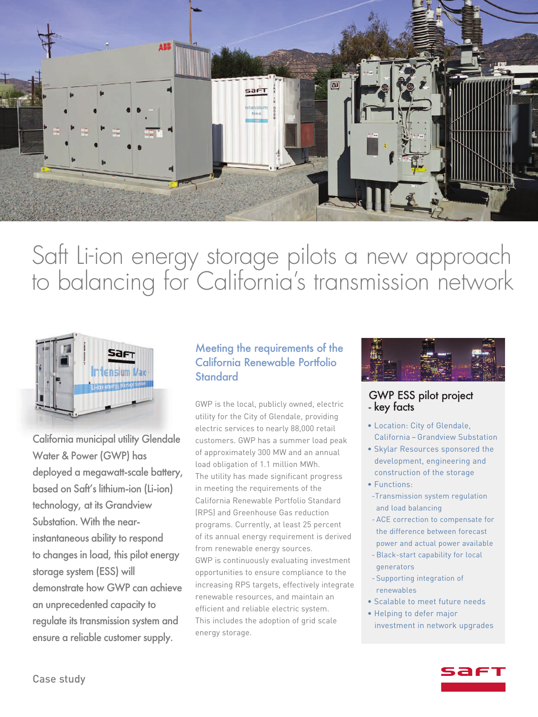

# Saft Li-ion energy storage pilots a new approach to balancing for California's transmission network



California municipal utility Glendale Water & Power (GWP) has deployed a megawatt-scale battery, based on Saft's lithium-ion (Li-ion) technology, at its Grandview Substation. With the nearinstantaneous ability to respond to changes in load, this pilot energy storage system (ESS) will demonstrate how GWP can achieve an unprecedented capacity to regulate its transmission system and ensure a reliable customer supply.

#### Meeting the requirements of the California Renewable Portfolio **Standard**

GWP is the local, publicly owned, electric utility for the City of Glendale, providing electric services to nearly 88,000 retail customers. GWP has a summer load peak of approximately 300 MW and an annual load obligation of 1.1 million MWh. The utility has made significant progress in meeting the requirements of the California Renewable Portfolio Standard (RPS) and Greenhouse Gas reduction programs. Currently, at least 25 percent of its annual energy requirement is derived from renewable energy sources. GWP is continuously evaluating investment opportunities to ensure compliance to the increasing RPS targets, effectively integrate renewable resources, and maintain an efficient and reliable electric system. This includes the adoption of grid scale energy storage.



#### GWP ESS pilot project - key facts

- Location: City of Glendale, California – Grandview Substation
- Skylar Resources sponsored the development, engineering and construction of the storage
- Functions:
- -Transmission system regulation and load balancing
- ACE correction to compensate for the difference between forecast power and actual power available
- -Black-start capability for local generators
- Supporting integration of renewables
- Scalable to meet future needs
- Helping to defer major investment in network upgrades